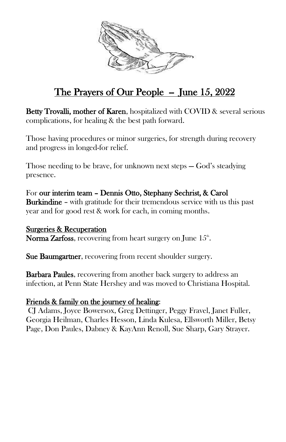

## The Prayers of Our People  $-$  June 15, 2022

Betty Trovalli, mother of Karen, hospitalized with COVID & several serious complications, for healing & the best path forward.

Those having procedures or minor surgeries, for strength during recovery and progress in longed-for relief.

Those needing to be brave, for unknown next steps — God's steadying presence.

For our interim team – Dennis Otto, Stephany Sechrist, & Carol Burkindine – with gratitude for their tremendous service with us this past year and for good rest & work for each, in coming months.

Surgeries & Recuperation **Norma Zarfoss**, recovering from heart surgery on June  $15^{\text{\tiny th}}$ .

Sue Baumgartner, recovering from recent shoulder surgery.

**Barbara Paules,** recovering from another back surgery to address an infection, at Penn State Hershey and was moved to Christiana Hospital.

## Friends & family on the journey of healing:

CJ Adams, Joyce Bowersox, Greg Dettinger, Peggy Fravel, Janet Fuller, Georgia Heilman, Charles Hesson, Linda Kulesa, Ellsworth Miller, Betsy Page, Don Paules, Dabney & KayAnn Renoll, Sue Sharp, Gary Strayer.